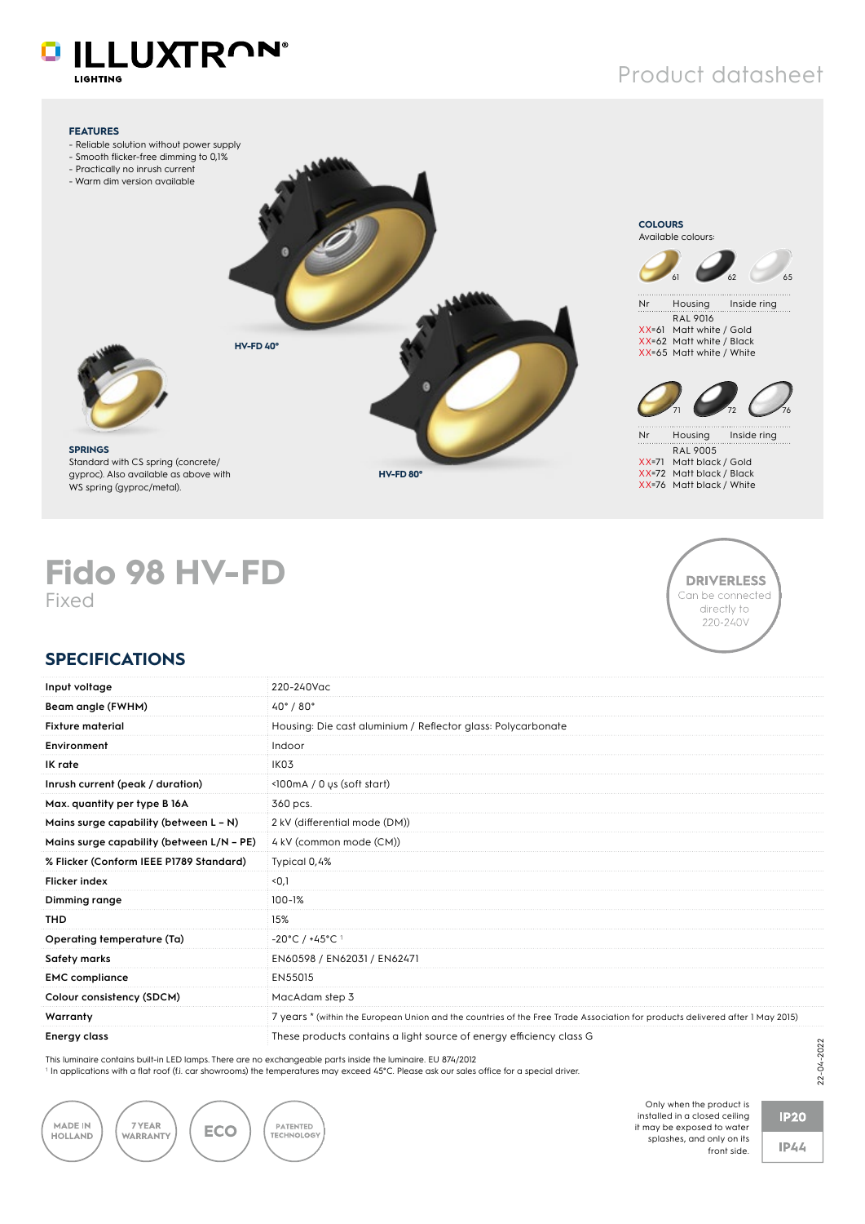# **O ILLUXTRON®**

LIGHTING

### Product datasheet



## **Fido 98 HV-FD** Fixed



#### **SPECIFICATIONS**

| Input voltage                                                                                                 | 220-240Vac                                                                                                                                             |  |
|---------------------------------------------------------------------------------------------------------------|--------------------------------------------------------------------------------------------------------------------------------------------------------|--|
| Beam angle (FWHM)                                                                                             | $40^{\circ}$ / $80^{\circ}$                                                                                                                            |  |
| <b>Fixture material</b>                                                                                       | Housing: Die cast aluminium / Reflector glass: Polycarbonate                                                                                           |  |
| Environment                                                                                                   | Indoor                                                                                                                                                 |  |
| IK rate                                                                                                       | IK <sub>03</sub>                                                                                                                                       |  |
| Inrush current (peak / duration)                                                                              | $\langle$ 100 mA / 0 us (soft start)                                                                                                                   |  |
| Max. quantity per type B 16A                                                                                  | 360 pcs.                                                                                                                                               |  |
| Mains surge capability (between $L - N$ )                                                                     | 2 kV (differential mode (DM))                                                                                                                          |  |
| Mains surge capability (between L/N - PE)                                                                     | 4 kV (common mode (CM))                                                                                                                                |  |
| % Flicker (Conform IEEE P1789 Standard)                                                                       | Typical 0,4%                                                                                                                                           |  |
| <b>Flicker index</b>                                                                                          | $0,1$                                                                                                                                                  |  |
| Dimming range                                                                                                 | $100 - 1%$                                                                                                                                             |  |
| <b>THD</b>                                                                                                    | 15%                                                                                                                                                    |  |
| Operating temperature (Ta)                                                                                    | $-20^{\circ}$ C / $+45^{\circ}$ C <sup>1</sup>                                                                                                         |  |
| Safety marks                                                                                                  | EN60598 / EN62031 / EN62471                                                                                                                            |  |
| <b>EMC</b> compliance                                                                                         | EN55015                                                                                                                                                |  |
| Colour consistency (SDCM)                                                                                     | MacAdam step 3                                                                                                                                         |  |
| Warranty                                                                                                      | 7 years * (within the European Union and the countries of the Free Trade Association for products delivered after 1 May 2015)                          |  |
| <b>Energy class</b>                                                                                           | These products contains a light source of energy efficiency class G                                                                                    |  |
| This luminaire contains built-in LED lamps. There are no exchangeable parts inside the luminaire. EU 874/2012 | <sup>1</sup> In applications with a flat roof (f.i. car showrooms) the temperatures may exceed 45°C. Please ask our sales office for a special driver. |  |



Only when the product is installed in a closed ceiling it may be exposed to water splashes, and only on its front side.

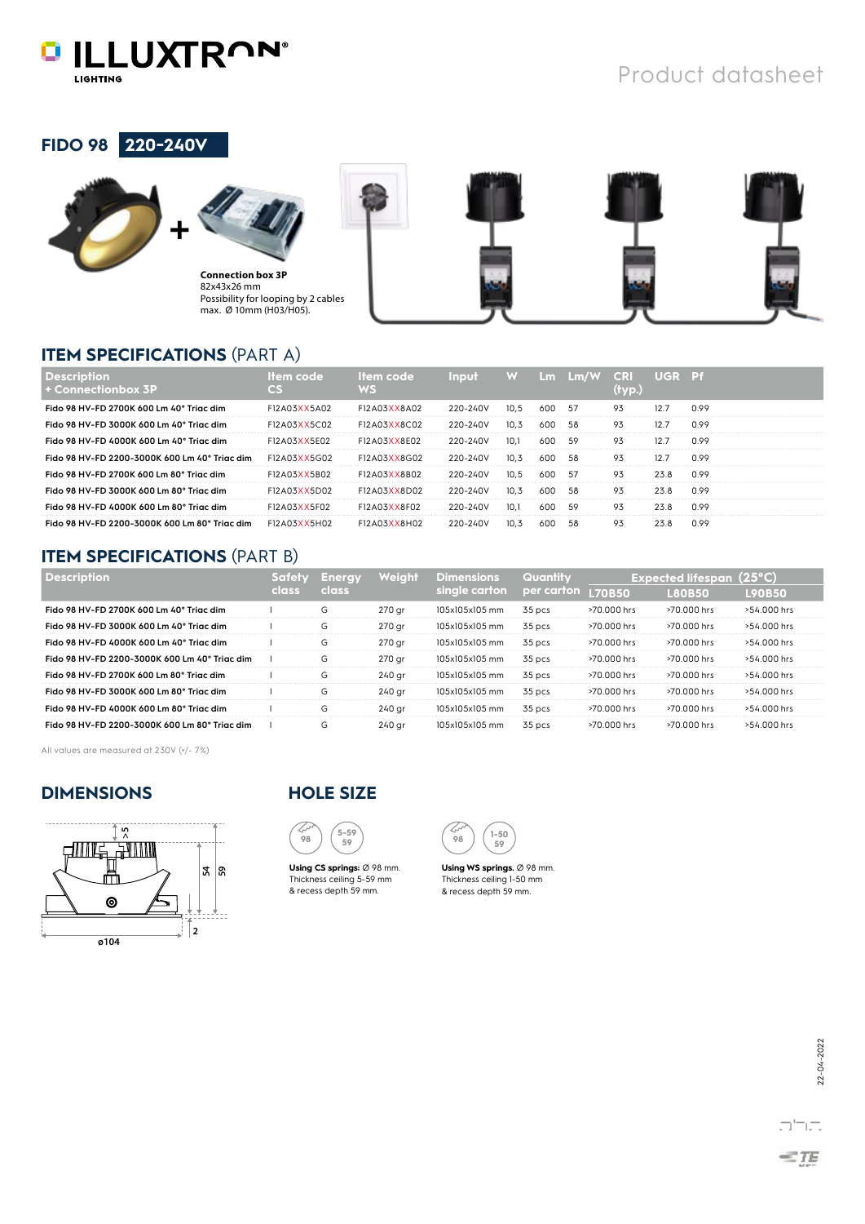

#### **FIDO 98 220-240V**





**Connection box 3P** 82x43x26 mm Possibility for looping by 2 cables max. Ø 10mm (H03/H05).



### **ITEM SPECIFICATIONS** (PART A)

| Connectionbox 3P                              |                     |              |          |      | Lm.  | Lm/W | <b>CRI</b> | - UGR - Pf |      |
|-----------------------------------------------|---------------------|--------------|----------|------|------|------|------------|------------|------|
| Fido 98 HV-FD 2700K 600 Lm 40° Triac dim      | F12A03XX5A02        | F12A03XX8A02 | 220-240V | 10.5 | 600. | -57  | 93         |            | 0.99 |
| Fido 98 HV-FD 3000K 600 Lm 40° Triac dim      | F12A03XX5C02        | F12A03XX8C02 | 220-240V | 10.3 | 600  | 58   | 93         |            | 0.99 |
| Fido 98 HV-FD 4000K 600 Lm 40° Triac dim      | F12A03XX5E02        | F12A03XX8E02 | 220-240V |      | 600  |      |            |            | 0.99 |
| Fido 98 HV-FD 2200-3000K 600 Lm 40° Trigc dim | F12A03XX5G02        | F12A03XX8G02 | 220-240V |      |      |      |            |            | 0.99 |
| Fido 98 HV-FD 2700K 600 Lm 80° Trigc dim      | F12A03XX5B02        | F12A03XX8B02 | 220-240V | 10.5 | 600  | -57  | 93         | 23.8       | 0.99 |
| Fido 98 HV-FD 3000K 600 Lm 80° Trigc dim      | <b>F12A03XX5D02</b> | F12A03XX8D02 | 220-240V |      | 600  | .58  | 93         | 23.8       | 0.99 |
| Fido 98 HV-FD 4000K 600 Lm 80° Trigc dim      | F12A03XX5F02        | F12A03XX8F02 | 220-240V | 10.1 | 600  | .59  | 93         | 23.8       | 0.99 |
| Fido 98 HV-FD 2200-3000K 600 Lm 80° Triac dim | F12A03XX5H02        | F12A03XX8H02 | 220-240V |      |      |      | 93         |            | 1.99 |

#### **ITEM SPECIFICATIONS** (PART B)

|                                               | class        | weldhi | sınale carton' | ber carton | Expected litesi |             |               |  |
|-----------------------------------------------|--------------|--------|----------------|------------|-----------------|-------------|---------------|--|
|                                               |              |        |                |            | 170B50          |             |               |  |
| Fido 98 HV-FD 2700K 600 Lm 40° Triac dim      | ۰.           | 270 ar | 105x105x105 mm | 35 pcs     | >70.000 hrs     | >70.000 hrs | >54.000 hrs   |  |
| Fido 98 HV-FD 3000K 600 Lm 40° Trigc dim      |              | 270 ar | 105x105x105 mm | 35 pcs     | >70.000 hrs     | >70.000 hrs | $>54$ 000 hrs |  |
| Fido 98 HV-FD 4000K 600 Lm 40° Triac dim      | د)           | 270 ar | 105x105x105 mm | 35 pcs     | $>70.000$ hrs   | >70.000 hrs | $>54$ 000 hrs |  |
| Fido 98 HV-FD 2200-3000K 600 Lm 40° Triac dim | (7)          | 270 ar | 105x105x105 mm | 35 pcs     | >70.000 hrs     | >70.000 hrs | $>54$ 000 hrs |  |
| Fido 98 HV-FD 2700K 600 Lm 80° Triac dim      | $\mathsf{G}$ | 240 ar | 105x105x105 mm | 35 pcs     | >70.000 hrs     | >70.000 hrs | $>54.000$ hrs |  |
| Fido 98 HV-FD 3000K 600 Lm 80° Triac dim      |              | 240 ar | 105x105x105 mm | 35 pcs     | >70.000 hrs     | >70.000 hrs | $>54$ 000 hrs |  |
| Fido 98 HV-FD 4000K 600 Lm 80° Triac dim      |              | 240 ar | 105x105x105 mm | $35$ pcs   | $>70.000$ hrs   | >70.000 hrs | $>54$ 000 hrs |  |
| Fido 98 HV-FD 2200-3000K 600 Lm 80° Triac dim | ۰.           | 240 ar | 105x105x105 mm | 35 pcs     | $>70.000$ hrs   | >70.000 hrs | >54.000 hrs   |  |

All values are measured at 230V (+/- 7%)

#### **DIMENSIONS HOLE SIZE**





**Using CS springs:** Ø 98 mm. Thickness ceiling 5-59 mm & recess depth 59 mm.

**1-50**

**Using WS springs.** Ø 98 mm. Thickness ceiling 1-50 mm & recess depth 59 mm.

 $\Box^{\prime}\Box\Box$